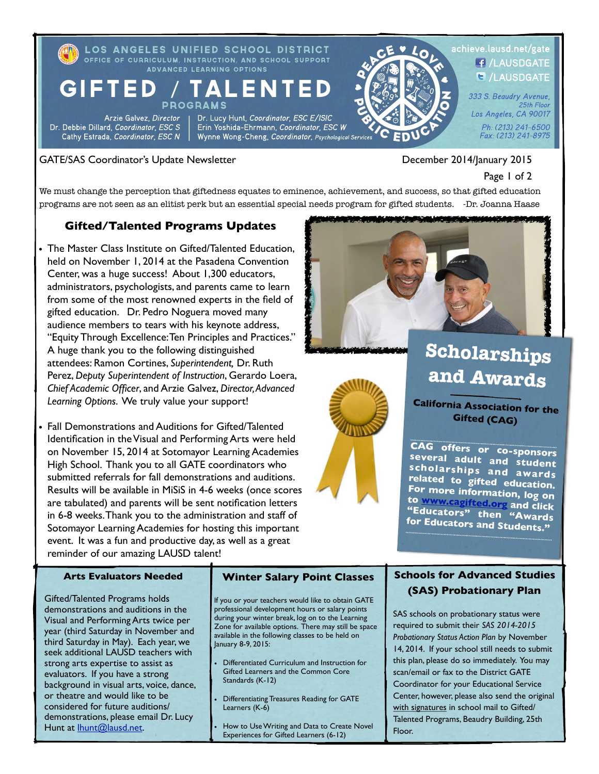LOS ANGELES UNIFIED SCHOOL DISTRICT OFFICE OF CURRICULUM, INSTRUCTION, AND SCHOOL SUPPORT **ADVANCED LEARNING OPTIONS** 

#### **GIFTED** TAL ENT **PROGRAMS**

Arzie Galvez, Director Dr. Debbie Dillard, Coordinator, ESC S Cathy Estrada, Coordinator, ESC N

Dr. Lucy Hunt, Coordinator, ESC E/ISIC Erin Yoshida-Ehrmann, Coordinator, ESC W Wynne Wong-Cheng, Coordinator, Psychological Services



#### GATE/SAS Coordinator's Update Newsletter December 2014/January 2015

#### ! ! Page 1 of 2

25th Floor

We must change the perception that giftedness equates to eminence, achievement, and success, so that gifted education programs are not seen as an elitist perk but an essential special needs program for gifted students. -Dr. Joanna Haase

#### **Gifted/Talented Programs Updates**

- The Master Class Institute on Gifted/Talented Education, held on November 1, 2014 at the Pasadena Convention Center, was a huge success! About 1,300 educators, administrators, psychologists, and parents came to learn from some of the most renowned experts in the field of gifted education. Dr. Pedro Noguera moved many audience members to tears with his keynote address, "Equity Through Excellence: Ten Principles and Practices." A huge thank you to the following distinguished attendees: Ramon Cortines, *Superintendent,* Dr. Ruth Perez, *Deputy Superintendent of Instruction*, Gerardo Loera, *Chief Academic Officer*, and Arzie Galvez, *Director, Advanced Learning Options*. We truly value your support!
- Fall Demonstrations and Auditions for Gifted/Talented Identification in the Visual and Performing Arts were held on November 15, 2014 at Sotomayor Learning Academies High School. Thank you to all GATE coordinators who submitted referrals for fall demonstrations and auditions. Results will be available in MiSiS in 4-6 weeks (once scores are tabulated) and parents will be sent notification letters in 6-8 weeks. Thank you to the administration and staff of Sotomayor Learning Academies for hosting this important event. It was a fun and productive day, as well as a great reminder of our amazing LAUSD talent!





## **Scholarships and Awards**

**California Association for the Gifted (CAG)**

**CAG offers or co-sponsors several adult and student scholarships and awards related to gifted education. For more information, log on to [www.cagifted.org](http://www.cagifted.org) and click "E[ducator](http://www.cagifted.org)s["](http://www.cagifted.org) [th](http://www.cagifted.org)en "Awards for Educators and Students."** 

#### **Arts Evaluators Needed**

Gifted/Talented Programs holds demonstrations and auditions in the Visual and Performing Arts twice per year (third Saturday in November and third Saturday in May). Each year, we seek additional LAUSD teachers with strong arts expertise to assist as evaluators. If you have a strong background in visual arts, voice, dance, or theatre and would like to be considered for future auditions/ demonstrations, please email Dr. Lucy Hunt at **Ihunt@lausd.net**.

#### **Winter Salary Point Classes**

If you or your teachers would like to obtain GATE professional development hours or salary points during your winter break, log on to the Learning Zone for available options. There may still be space available in the following classes to be held on January 8-9, 2015:

- Differentiated Curriculum and Instruction for Gifted Learners and the Common Core Standards (K-12)
- Differentiating Treasures Reading for GATE Learners (K-6)
- How to Use Writing and Data to Create Novel Experiences for Gifted Learners (6-12)

### **Schools for Advanced Studies (SAS) Probationary Plan**

SAS schools on probationary status were required to submit their *SAS 2014-2015 Probationary Status Action Plan* by November 14, 2014. If your school still needs to submit this plan, please do so immediately. You may scan/email or fax to the District GATE Coordinator for your Educational Service Center, however, please also send the original with signatures in school mail to Gifted/ Talented Programs, Beaudry Building, 25th Floor.